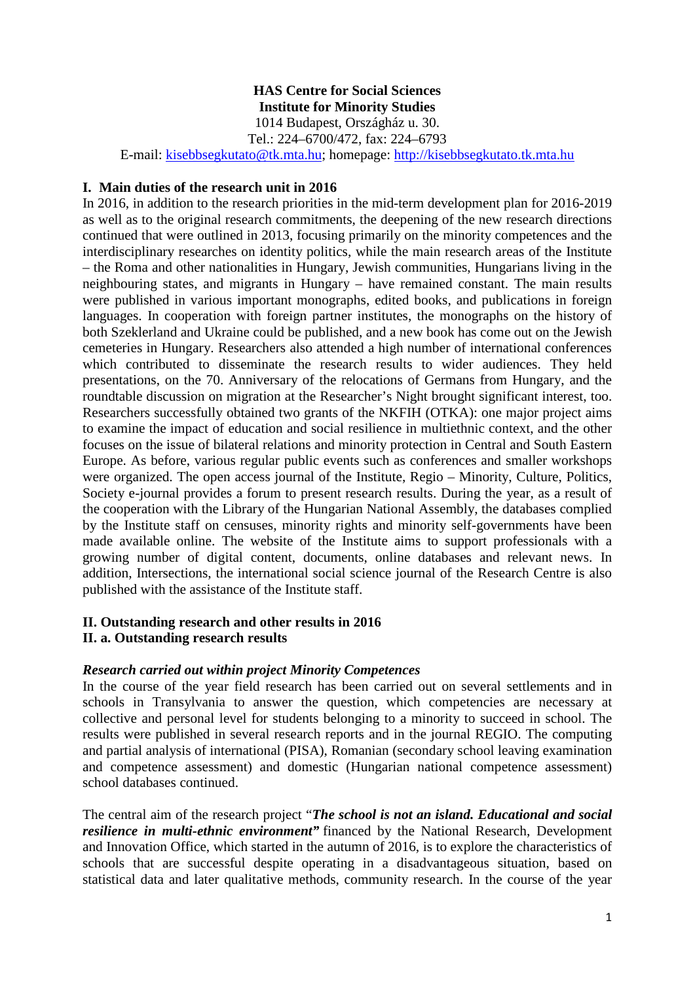# **HAS Centre for Social Sciences Institute for Minority Studies**

1014 Budapest, Országház u. 30.

Tel.: 224–6700/472, fax: 224–6793

E-mail: [kisebbsegkutato@tk.mta.hu;](mailto:kisebbsegkutato@tk.mta.hu) homepage: [http://kisebbsegkutato.tk.mta.hu](http://kisebbsegkutato.tk.mta.hu/)

### **I. Main duties of the research unit in 2016**

In 2016, in addition to the research priorities in the mid-term development plan for 2016-2019 as well as to the original research commitments, the deepening of the new research directions continued that were outlined in 2013, focusing primarily on the minority competences and the interdisciplinary researches on identity politics, while the main research areas of the Institute – the Roma and other nationalities in Hungary, Jewish communities, Hungarians living in the neighbouring states, and migrants in Hungary – have remained constant. The main results were published in various important monographs, edited books, and publications in foreign languages. In cooperation with foreign partner institutes, the monographs on the history of both Szeklerland and Ukraine could be published, and a new book has come out on the Jewish cemeteries in Hungary. Researchers also attended a high number of international conferences which contributed to disseminate the research results to wider audiences. They held presentations, on the 70. Anniversary of the relocations of Germans from Hungary, and the roundtable discussion on migration at the Researcher's Night brought significant interest, too. Researchers successfully obtained two grants of the NKFIH (OTKA): one major project aims to examine the impact of education and social resilience in multiethnic context, and the other focuses on the issue of bilateral relations and minority protection in Central and South Eastern Europe. As before, various regular public events such as conferences and smaller workshops were organized. The open access journal of the Institute, Regio – Minority, Culture, Politics, Society e-journal provides a forum to present research results. During the year, as a result of the cooperation with the Library of the Hungarian National Assembly, the databases complied by the Institute staff on censuses, minority rights and minority self-governments have been made available online. The website of the Institute aims to support professionals with a growing number of digital content, documents, online databases and relevant news. In addition, Intersections, the international social science journal of the Research Centre is also published with the assistance of the Institute staff.

### **II. Outstanding research and other results in 2016 II. a. Outstanding research results**

## *Research carried out within project Minority Competences*

In the course of the year field research has been carried out on several settlements and in schools in Transylvania to answer the question, which competencies are necessary at collective and personal level for students belonging to a minority to succeed in school. The results were published in several research reports and in the journal REGIO. The computing and partial analysis of international (PISA), Romanian (secondary school leaving examination and competence assessment) and domestic (Hungarian national competence assessment) school databases continued.

The central aim of the research project "*The school is not an island. Educational and social resilience in multi-ethnic environment"* financed by the National Research, Development and Innovation Office, which started in the autumn of 2016, is to explore the characteristics of schools that are successful despite operating in a disadvantageous situation, based on statistical data and later qualitative methods, community research. In the course of the year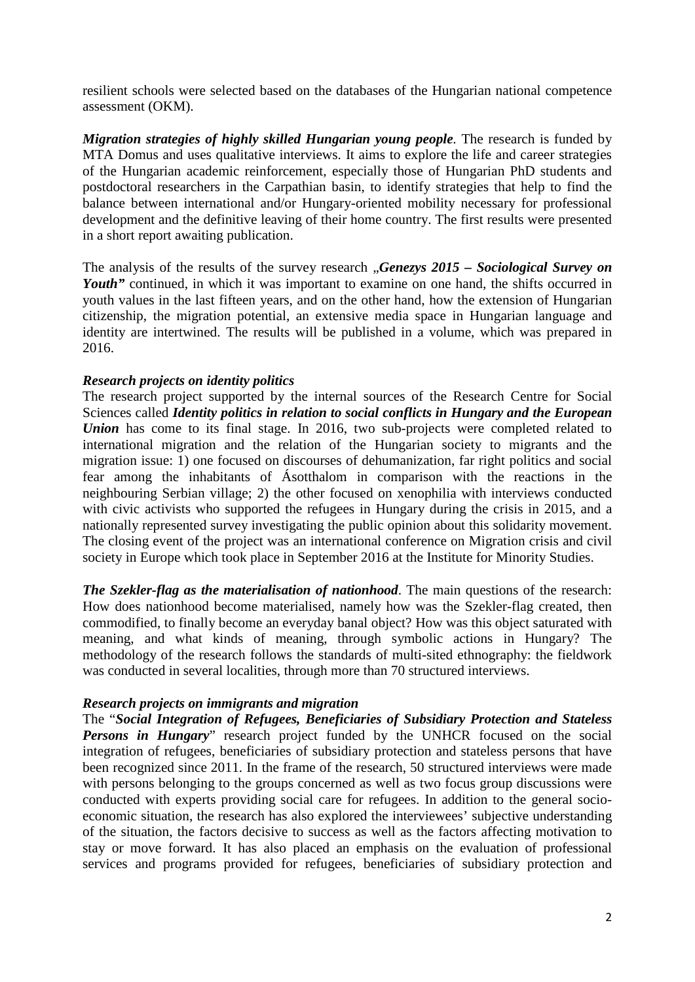resilient schools were selected based on the databases of the Hungarian national competence assessment (OKM).

*Migration strategies of highly skilled Hungarian young people. The research is funded by* MTA Domus and uses qualitative interviews. It aims to explore the life and career strategies of the Hungarian academic reinforcement, especially those of Hungarian PhD students and postdoctoral researchers in the Carpathian basin, to identify strategies that help to find the balance between international and/or Hungary-oriented mobility necessary for professional development and the definitive leaving of their home country. The first results were presented in a short report awaiting publication.

The analysis of the results of the survey research "*Genezys 2015 – Sociological Survey on Youth*" continued, in which it was important to examine on one hand, the shifts occurred in youth values in the last fifteen years, and on the other hand, how the extension of Hungarian citizenship, the migration potential, an extensive media space in Hungarian language and identity are intertwined. The results will be published in a volume, which was prepared in 2016.

### *Research projects on identity politics*

The research project supported by the internal sources of the Research Centre for Social Sciences called *Identity politics in relation to social conflicts in Hungary and the European Union* has come to its final stage. In 2016, two sub-projects were completed related to international migration and the relation of the Hungarian society to migrants and the migration issue: 1) one focused on discourses of dehumanization, far right politics and social fear among the inhabitants of Ásotthalom in comparison with the reactions in the neighbouring Serbian village; 2) the other focused on xenophilia with interviews conducted with civic activists who supported the refugees in Hungary during the crisis in 2015, and a nationally represented survey investigating the public opinion about this solidarity movement. The closing event of the project was an international conference on Migration crisis and civil society in Europe which took place in September 2016 at the Institute for Minority Studies.

*The Szekler-flag as the materialisation of nationhood*. The main questions of the research: How does nationhood become materialised, namely how was the Szekler-flag created, then commodified, to finally become an everyday banal object? How was this object saturated with meaning, and what kinds of meaning, through symbolic actions in Hungary? The methodology of the research follows the standards of multi-sited ethnography: the fieldwork was conducted in several localities, through more than 70 structured interviews.

#### *Research projects on immigrants and migration*

The "*Social Integration of Refugees, Beneficiaries of Subsidiary Protection and Stateless Persons in Hungary*" research project funded by the UNHCR focused on the social integration of refugees, beneficiaries of subsidiary protection and stateless persons that have been recognized since 2011. In the frame of the research, 50 structured interviews were made with persons belonging to the groups concerned as well as two focus group discussions were conducted with experts providing social care for refugees. In addition to the general socioeconomic situation, the research has also explored the interviewees' subjective understanding of the situation, the factors decisive to success as well as the factors affecting motivation to stay or move forward. It has also placed an emphasis on the evaluation of professional services and programs provided for refugees, beneficiaries of subsidiary protection and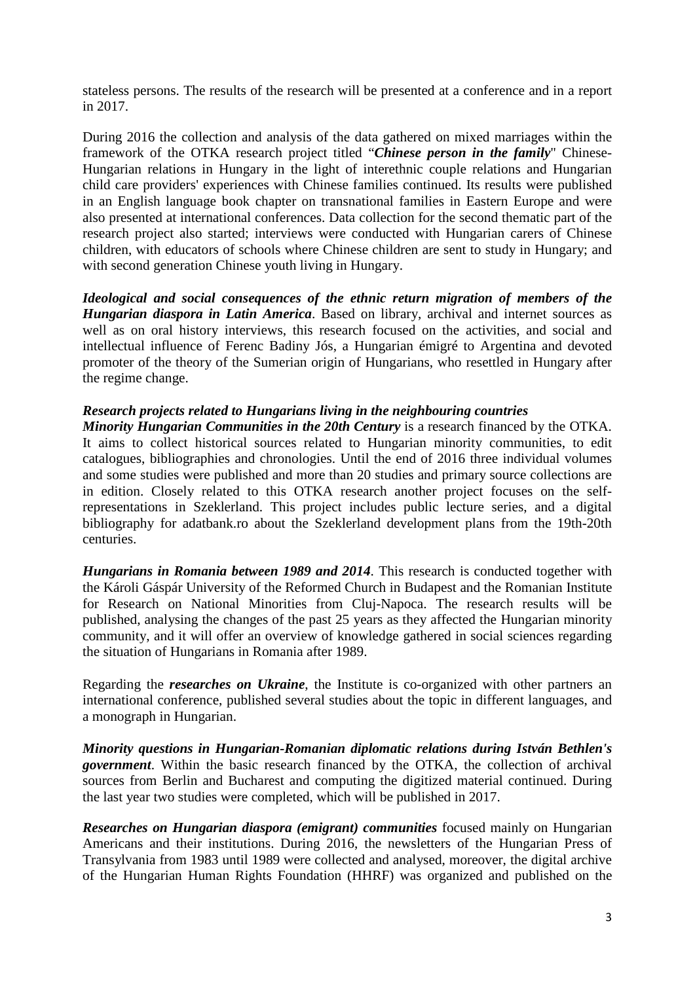stateless persons. The results of the research will be presented at a conference and in a report in 2017.

During 2016 the collection and analysis of the data gathered on mixed marriages within the framework of the OTKA research project titled "*Chinese person in the family*" Chinese-Hungarian relations in Hungary in the light of interethnic couple relations and Hungarian child care providers' experiences with Chinese families continued. Its results were published in an English language book chapter on transnational families in Eastern Europe and were also presented at international conferences. Data collection for the second thematic part of the research project also started; interviews were conducted with Hungarian carers of Chinese children, with educators of schools where Chinese children are sent to study in Hungary; and with second generation Chinese youth living in Hungary.

*Ideological and social consequences of the ethnic return migration of members of the Hungarian diaspora in Latin America*. Based on library, archival and internet sources as well as on oral history interviews, this research focused on the activities, and social and intellectual influence of Ferenc Badiny Jós, a Hungarian émigré to Argentina and devoted promoter of the theory of the Sumerian origin of Hungarians, who resettled in Hungary after the regime change.

## *Research projects related to Hungarians living in the neighbouring countries*

*Minority Hungarian Communities in the 20th Century* is a research financed by the OTKA. It aims to collect historical sources related to Hungarian minority communities, to edit catalogues, bibliographies and chronologies. Until the end of 2016 three individual volumes and some studies were published and more than 20 studies and primary source collections are in edition. Closely related to this OTKA research another project focuses on the selfrepresentations in Szeklerland. This project includes public lecture series, and a digital bibliography for adatbank.ro about the Szeklerland development plans from the 19th-20th centuries.

*Hungarians in Romania between 1989 and 2014*. This research is conducted together with the Károli Gáspár University of the Reformed Church in Budapest and the Romanian Institute for Research on National Minorities from Cluj-Napoca. The research results will be published, analysing the changes of the past 25 years as they affected the Hungarian minority community, and it will offer an overview of knowledge gathered in social sciences regarding the situation of Hungarians in Romania after 1989.

Regarding the *researches on Ukraine*, the Institute is co-organized with other partners an international conference, published several studies about the topic in different languages, and a monograph in Hungarian.

*Minority questions in Hungarian-Romanian diplomatic relations during István Bethlen's government*. Within the basic research financed by the OTKA, the collection of archival sources from Berlin and Bucharest and computing the digitized material continued. During the last year two studies were completed, which will be published in 2017.

*Researches on Hungarian diaspora (emigrant) communities* focused mainly on Hungarian Americans and their institutions. During 2016, the newsletters of the Hungarian Press of Transylvania from 1983 until 1989 were collected and analysed, moreover, the digital archive of the Hungarian Human Rights Foundation (HHRF) was organized and published on the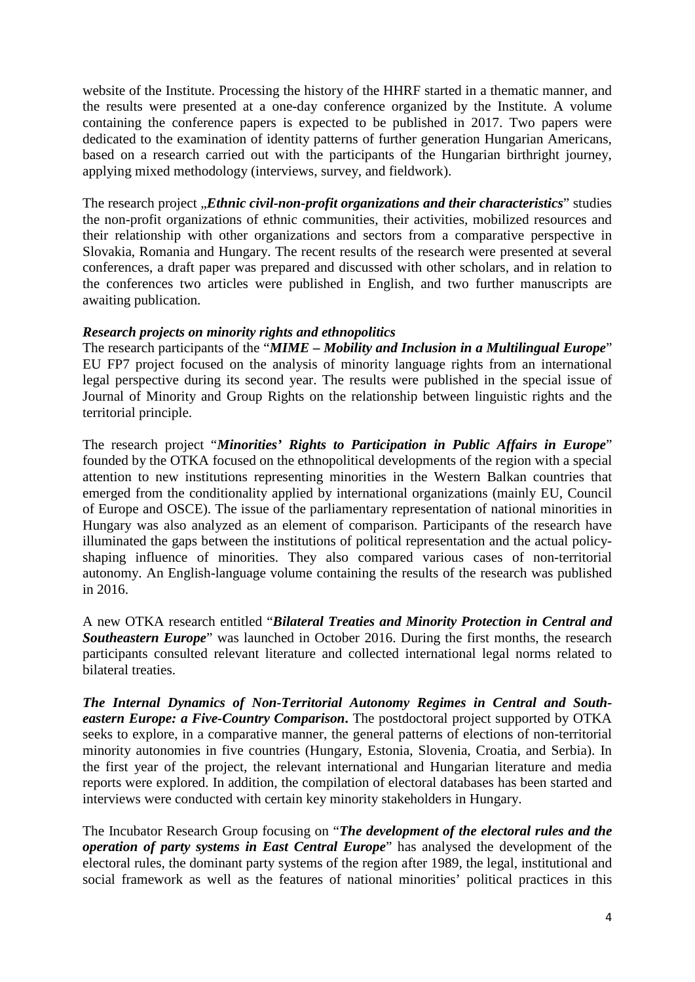website of the Institute. Processing the history of the HHRF started in a thematic manner, and the results were presented at a one-day conference organized by the Institute. A volume containing the conference papers is expected to be published in 2017. Two papers were dedicated to the examination of identity patterns of further generation Hungarian Americans, based on a research carried out with the participants of the Hungarian birthright journey, applying mixed methodology (interviews, survey, and fieldwork).

The research project *"Ethnic civil-non-profit organizations and their characteristics*" studies the non-profit organizations of ethnic communities, their activities, mobilized resources and their relationship with other organizations and sectors from a comparative perspective in Slovakia, Romania and Hungary. The recent results of the research were presented at several conferences, a draft paper was prepared and discussed with other scholars, and in relation to the conferences two articles were published in English, and two further manuscripts are awaiting publication.

### *Research projects on minority rights and ethnopolitics*

The research participants of the "*MIME – Mobility and Inclusion in a Multilingual Europe*" EU FP7 project focused on the analysis of minority language rights from an international legal perspective during its second year. The results were published in the special issue of Journal of Minority and Group Rights on the relationship between linguistic rights and the territorial principle.

The research project "*Minorities' Rights to Participation in Public Affairs in Europe*" founded by the OTKA focused on the ethnopolitical developments of the region with a special attention to new institutions representing minorities in the Western Balkan countries that emerged from the conditionality applied by international organizations (mainly EU, Council of Europe and OSCE). The issue of the parliamentary representation of national minorities in Hungary was also analyzed as an element of comparison. Participants of the research have illuminated the gaps between the institutions of political representation and the actual policyshaping influence of minorities. They also compared various cases of non-territorial autonomy. An English-language volume containing the results of the research was published in 2016.

A new OTKA research entitled "*Bilateral Treaties and Minority Protection in Central and*  **Southeastern Europe**" was launched in October 2016. During the first months, the research participants consulted relevant literature and collected international legal norms related to bilateral treaties.

*The Internal Dynamics of Non-Territorial Autonomy Regimes in Central and Southeastern Europe: a Five-Country Comparison***.** The postdoctoral project supported by OTKA seeks to explore, in a comparative manner, the general patterns of elections of non-territorial minority autonomies in five countries (Hungary, Estonia, Slovenia, Croatia, and Serbia). In the first year of the project, the relevant international and Hungarian literature and media reports were explored. In addition, the compilation of electoral databases has been started and interviews were conducted with certain key minority stakeholders in Hungary.

The Incubator Research Group focusing on "*The development of the electoral rules and the operation of party systems in East Central Europe*" has analysed the development of the electoral rules, the dominant party systems of the region after 1989, the legal, institutional and social framework as well as the features of national minorities' political practices in this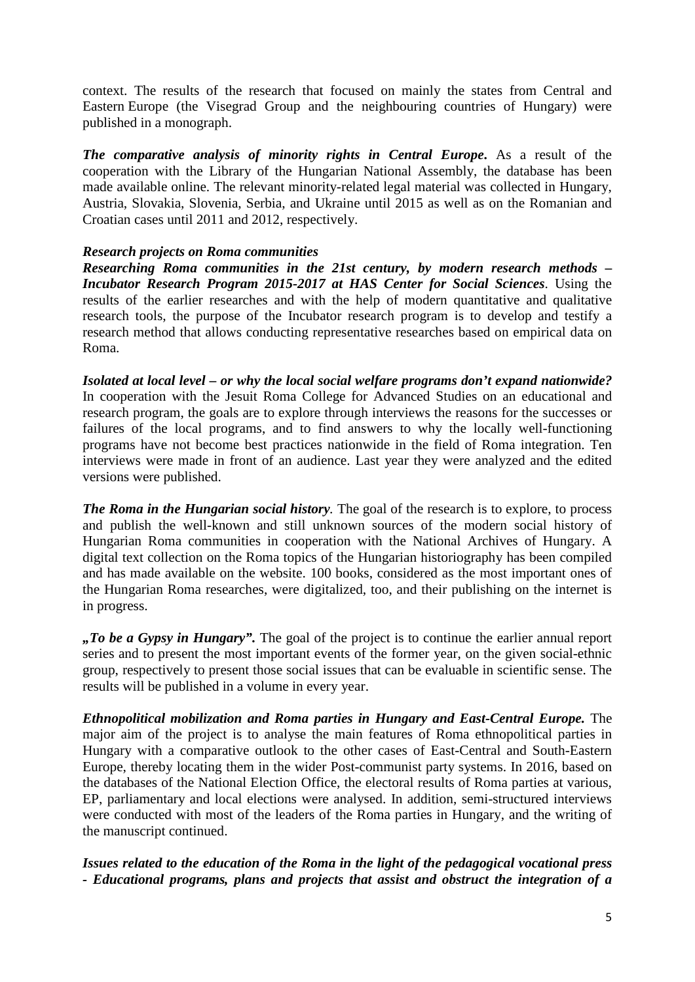context. The results of the research that focused on mainly the states from Central and Eastern Europe (the Visegrad Group and the neighbouring countries of Hungary) were published in a monograph.

*The comparative analysis of minority rights in Central Europe***.** As a result of the cooperation with the Library of the Hungarian National Assembly, the database has been made available online. The relevant minority-related legal material was collected in Hungary, Austria, Slovakia, Slovenia, Serbia, and Ukraine until 2015 as well as on the Romanian and Croatian cases until 2011 and 2012, respectively.

### *Research projects on Roma communities*

*Researching Roma communities in the 21st century, by modern research methods – Incubator Research Program 2015-2017 at HAS Center for Social Sciences*. Using the results of the earlier researches and with the help of modern quantitative and qualitative research tools, the purpose of the Incubator research program is to develop and testify a research method that allows conducting representative researches based on empirical data on Roma.

*Isolated at local level – or why the local social welfare programs don't expand nationwide?* In cooperation with the Jesuit Roma College for Advanced Studies on an educational and research program, the goals are to explore through interviews the reasons for the successes or failures of the local programs, and to find answers to why the locally well-functioning programs have not become best practices nationwide in the field of Roma integration. Ten interviews were made in front of an audience. Last year they were analyzed and the edited versions were published.

*The Roma in the Hungarian social history.* The goal of the research is to explore, to process and publish the well-known and still unknown sources of the modern social history of Hungarian Roma communities in cooperation with the National Archives of Hungary. A digital text collection on the Roma topics of the Hungarian historiography has been compiled and has made available on the website. 100 books, considered as the most important ones of the Hungarian Roma researches, were digitalized, too, and their publishing on the internet is in progress.

*"To be a Gypsy in Hungary".* The goal of the project is to continue the earlier annual report series and to present the most important events of the former year, on the given social-ethnic group, respectively to present those social issues that can be evaluable in scientific sense. The results will be published in a volume in every year.

*Ethnopolitical mobilization and Roma parties in Hungary and East-Central Europe.* The major aim of the project is to analyse the main features of Roma ethnopolitical parties in Hungary with a comparative outlook to the other cases of East-Central and South-Eastern Europe, thereby locating them in the wider Post-communist party systems. In 2016, based on the databases of the National Election Office, the electoral results of Roma parties at various, EP, parliamentary and local elections were analysed. In addition, semi-structured interviews were conducted with most of the leaders of the Roma parties in Hungary, and the writing of the manuscript continued.

*Issues related to the education of the Roma in the light of the pedagogical vocational press - Educational programs, plans and projects that assist and obstruct the integration of a*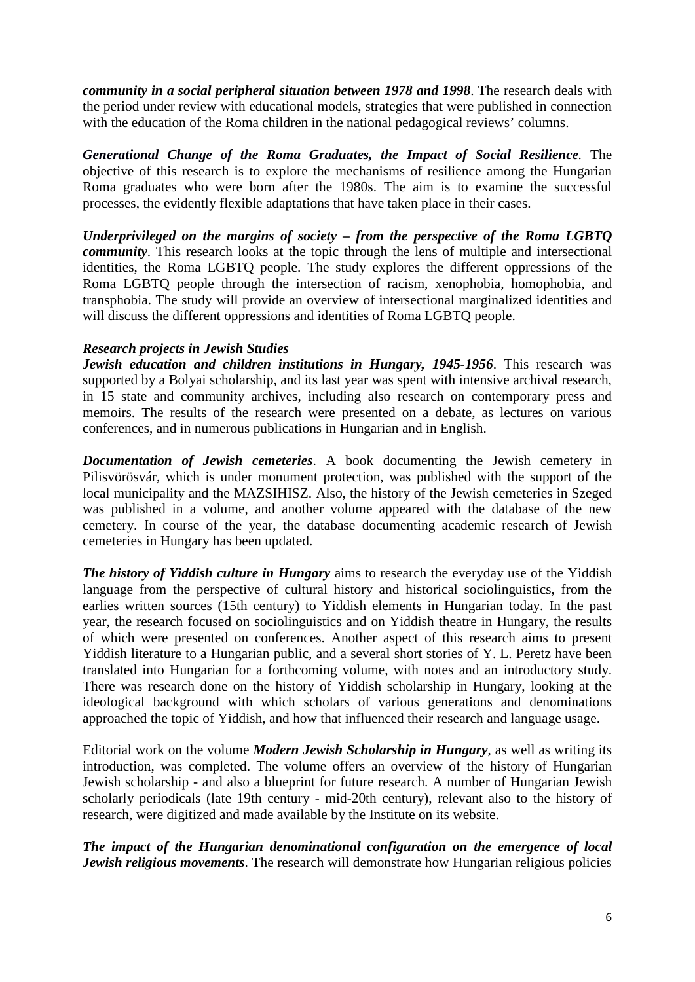*community in a social peripheral situation between 1978 and 1998*. The research deals with the period under review with educational models, strategies that were published in connection with the education of the Roma children in the national pedagogical reviews' columns.

*Generational Change of the Roma Graduates, the Impact of Social Resilience.* The objective of this research is to explore the mechanisms of resilience among the Hungarian Roma graduates who were born after the 1980s. The aim is to examine the successful processes, the evidently flexible adaptations that have taken place in their cases.

*Underprivileged on the margins of society – from the perspective of the Roma LGBTQ community*. This research looks at the topic through the lens of multiple and intersectional identities, the Roma LGBTQ people. The study explores the different oppressions of the Roma LGBTQ people through the intersection of racism, xenophobia, homophobia, and transphobia. The study will provide an overview of intersectional marginalized identities and will discuss the different oppressions and identities of Roma LGBTQ people.

### *Research projects in Jewish Studies*

*Jewish education and children institutions in Hungary, 1945-1956*. This research was supported by a Bolyai scholarship, and its last year was spent with intensive archival research, in 15 state and community archives, including also research on contemporary press and memoirs. The results of the research were presented on a debate, as lectures on various conferences, and in numerous publications in Hungarian and in English.

*Documentation of Jewish cemeteries*. A book documenting the Jewish cemetery in Pilisvörösvár, which is under monument protection, was published with the support of the local municipality and the MAZSIHISZ. Also, the history of the Jewish cemeteries in Szeged was published in a volume, and another volume appeared with the database of the new cemetery. In course of the year, the database documenting academic research of Jewish cemeteries in Hungary has been updated.

*The history of Yiddish culture in Hungary* aims to research the everyday use of the Yiddish language from the perspective of cultural history and historical sociolinguistics, from the earlies written sources (15th century) to Yiddish elements in Hungarian today. In the past year, the research focused on sociolinguistics and on Yiddish theatre in Hungary, the results of which were presented on conferences. Another aspect of this research aims to present Yiddish literature to a Hungarian public, and a several short stories of Y. L. Peretz have been translated into Hungarian for a forthcoming volume, with notes and an introductory study. There was research done on the history of Yiddish scholarship in Hungary, looking at the ideological background with which scholars of various generations and denominations approached the topic of Yiddish, and how that influenced their research and language usage.

Editorial work on the volume *Modern Jewish Scholarship in Hungary*, as well as writing its introduction, was completed. The volume offers an overview of the history of Hungarian Jewish scholarship - and also a blueprint for future research. A number of Hungarian Jewish scholarly periodicals (late 19th century - mid-20th century), relevant also to the history of research, were digitized and made available by the Institute on its website.

*The impact of the Hungarian denominational configuration on the emergence of local Jewish religious movements*. The research will demonstrate how Hungarian religious policies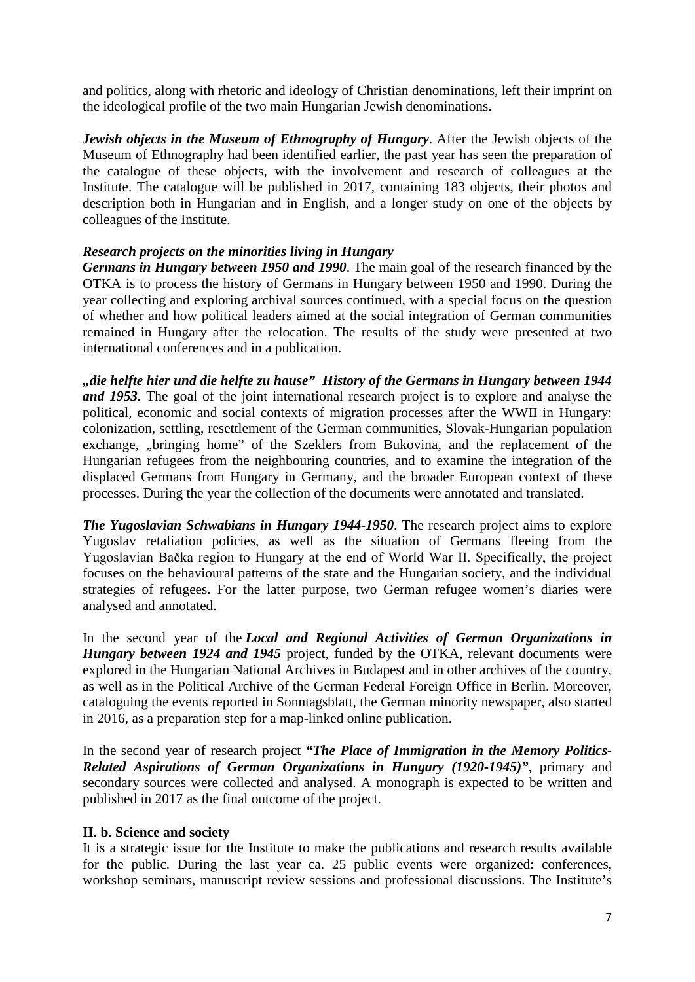and politics, along with rhetoric and ideology of Christian denominations, left their imprint on the ideological profile of the two main Hungarian Jewish denominations.

*Jewish objects in the Museum of Ethnography of Hungary*. After the Jewish objects of the Museum of Ethnography had been identified earlier, the past year has seen the preparation of the catalogue of these objects, with the involvement and research of colleagues at the Institute. The catalogue will be published in 2017, containing 183 objects, their photos and description both in Hungarian and in English, and a longer study on one of the objects by colleagues of the Institute.

## *Research projects on the minorities living in Hungary*

*Germans in Hungary between 1950 and 1990*. The main goal of the research financed by the OTKA is to process the history of Germans in Hungary between 1950 and 1990. During the year collecting and exploring archival sources continued, with a special focus on the question of whether and how political leaders aimed at the social integration of German communities remained in Hungary after the relocation. The results of the study were presented at two international conferences and in a publication.

*"die helfte hier und die helfte zu hause" History of the Germans in Hungary between 1944 and 1953.* The goal of the joint international research project is to explore and analyse the political, economic and social contexts of migration processes after the WWII in Hungary: colonization, settling, resettlement of the German communities, Slovak-Hungarian population exchange, "bringing home" of the Szeklers from Bukovina, and the replacement of the Hungarian refugees from the neighbouring countries, and to examine the integration of the displaced Germans from Hungary in Germany, and the broader European context of these processes. During the year the collection of the documents were annotated and translated.

*The Yugoslavian Schwabians in Hungary 1944-1950*. The research project aims to explore Yugoslav retaliation policies, as well as the situation of Germans fleeing from the Yugoslavian Bačka region to Hungary at the end of World War II. Specifically, the project focuses on the behavioural patterns of the state and the Hungarian society, and the individual strategies of refugees. For the latter purpose, two German refugee women's diaries were analysed and annotated.

In the second year of the *Local and Regional Activities of German Organizations in Hungary between 1924 and 1945* project, funded by the OTKA, relevant documents were explored in the Hungarian National Archives in Budapest and in other archives of the country, as well as in the Political Archive of the German Federal Foreign Office in Berlin. Moreover, cataloguing the events reported in Sonntagsblatt, the German minority newspaper, also started in 2016, as a preparation step for a map-linked online publication.

In the second year of research project *"The Place of Immigration in the Memory Politics-Related Aspirations of German Organizations in Hungary (1920-1945)"*, primary and secondary sources were collected and analysed. A monograph is expected to be written and published in 2017 as the final outcome of the project.

#### **II. b. Science and society**

It is a strategic issue for the Institute to make the publications and research results available for the public. During the last year ca. 25 public events were organized: conferences, workshop seminars, manuscript review sessions and professional discussions. The Institute's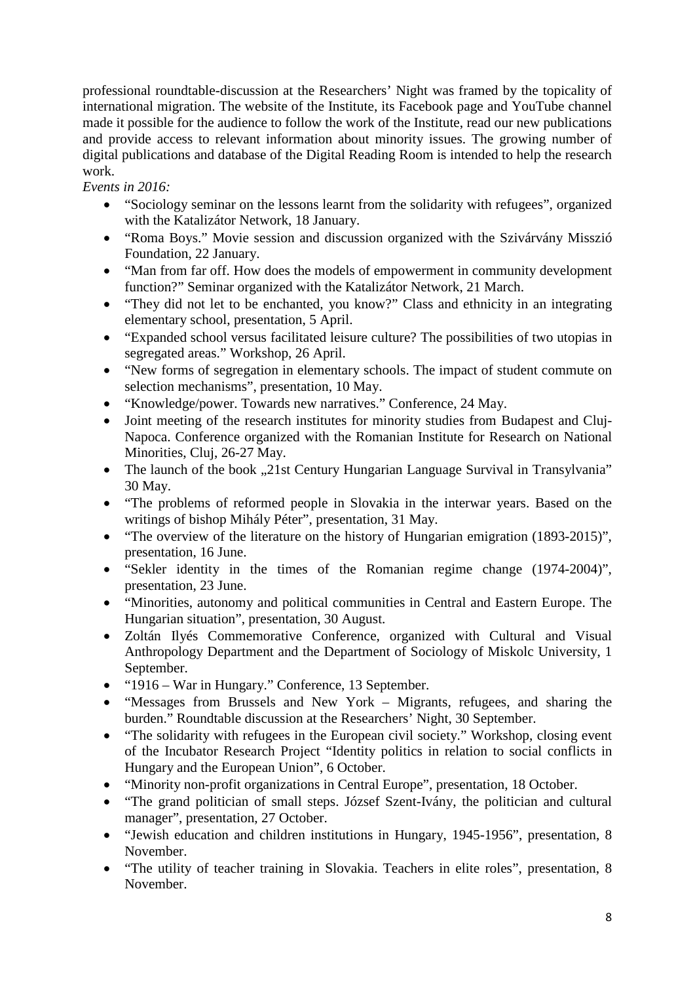professional roundtable-discussion at the Researchers' Night was framed by the topicality of international migration. The website of the Institute, its Facebook page and YouTube channel made it possible for the audience to follow the work of the Institute, read our new publications and provide access to relevant information about minority issues. The growing number of digital publications and database of the Digital Reading Room is intended to help the research work.

*Events in 2016:* 

- "Sociology seminar on the lessons learnt from the solidarity with refugees", organized with the Katalizátor Network, 18 January.
- "Roma Boys." Movie session and discussion organized with the Szivárvány Misszió Foundation, 22 January.
- "Man from far off. How does the models of empowerment in community development function?" Seminar organized with the Katalizátor Network, 21 March.
- "They did not let to be enchanted, you know?" Class and ethnicity in an integrating elementary school, presentation, 5 April.
- "Expanded school versus facilitated leisure culture? The possibilities of two utopias in segregated areas." Workshop, 26 April.
- "New forms of segregation in elementary schools. The impact of student commute on selection mechanisms", presentation, 10 May.
- "Knowledge/power. Towards new narratives." Conference, 24 May.
- Joint meeting of the research institutes for minority studies from Budapest and Cluj-Napoca. Conference organized with the Romanian Institute for Research on National Minorities, Cluj, 26-27 May.
- The launch of the book "21st Century Hungarian Language Survival in Transylvania" 30 May.
- "The problems of reformed people in Slovakia in the interwar years. Based on the writings of bishop Mihály Péter", presentation, 31 May.
- "The overview of the literature on the history of Hungarian emigration (1893-2015)", presentation, 16 June.
- "Sekler identity in the times of the Romanian regime change (1974-2004)", presentation, 23 June.
- "Minorities, autonomy and political communities in Central and Eastern Europe. The Hungarian situation", presentation, 30 August.
- Zoltán Ilyés Commemorative Conference, organized with Cultural and Visual Anthropology Department and the Department of Sociology of Miskolc University, 1 September.
- "1916 War in Hungary." Conference, 13 September.
- "Messages from Brussels and New York Migrants, refugees, and sharing the burden." Roundtable discussion at the Researchers' Night, 30 September.
- "The solidarity with refugees in the European civil society." Workshop, closing event of the Incubator Research Project "Identity politics in relation to social conflicts in Hungary and the European Union", 6 October.
- "Minority non-profit organizations in Central Europe", presentation, 18 October.
- "The grand politician of small steps. József Szent-Ivány, the politician and cultural manager", presentation, 27 October.
- "Jewish education and children institutions in Hungary, 1945-1956", presentation, 8 November.
- "The utility of teacher training in Slovakia. Teachers in elite roles", presentation, 8 November.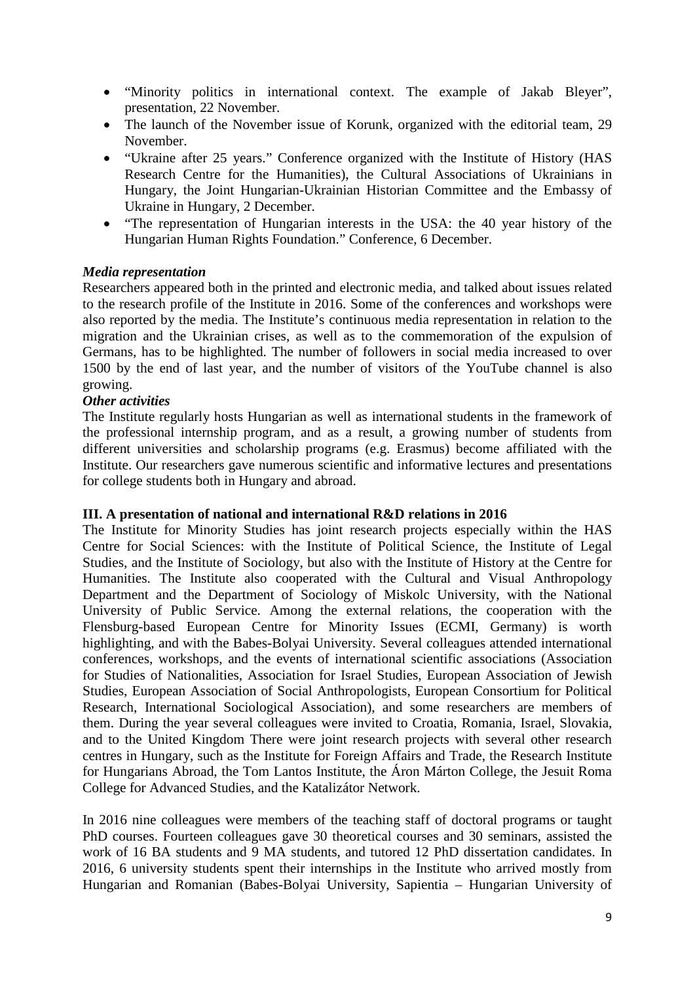- "Minority politics in international context. The example of Jakab Bleyer", presentation, 22 November.
- The launch of the November issue of Korunk, organized with the editorial team, 29 November.
- "Ukraine after 25 years." Conference organized with the Institute of History (HAS Research Centre for the Humanities), the Cultural Associations of Ukrainians in Hungary, the Joint Hungarian-Ukrainian Historian Committee and the Embassy of Ukraine in Hungary, 2 December.
- "The representation of Hungarian interests in the USA: the 40 year history of the Hungarian Human Rights Foundation." Conference, 6 December.

### *Media representation*

Researchers appeared both in the printed and electronic media, and talked about issues related to the research profile of the Institute in 2016. Some of the conferences and workshops were also reported by the media. The Institute's continuous media representation in relation to the migration and the Ukrainian crises, as well as to the commemoration of the expulsion of Germans, has to be highlighted. The number of followers in social media increased to over 1500 by the end of last year, and the number of visitors of the YouTube channel is also growing.

#### *Other activities*

The Institute regularly hosts Hungarian as well as international students in the framework of the professional internship program, and as a result, a growing number of students from different universities and scholarship programs (e.g. Erasmus) become affiliated with the Institute. Our researchers gave numerous scientific and informative lectures and presentations for college students both in Hungary and abroad.

#### **III. A presentation of national and international R&D relations in 2016**

The Institute for Minority Studies has joint research projects especially within the HAS Centre for Social Sciences: with the Institute of Political Science, the Institute of Legal Studies, and the Institute of Sociology, but also with the Institute of History at the Centre for Humanities. The Institute also cooperated with the Cultural and Visual Anthropology Department and the Department of Sociology of Miskolc University, with the National University of Public Service. Among the external relations, the cooperation with the Flensburg-based European Centre for Minority Issues (ECMI, Germany) is worth highlighting, and with the Babes-Bolyai University. Several colleagues attended international conferences, workshops, and the events of international scientific associations (Association for Studies of Nationalities, Association for Israel Studies, European Association of Jewish Studies, European Association of Social Anthropologists, European Consortium for Political Research, International Sociological Association), and some researchers are members of them. During the year several colleagues were invited to Croatia, Romania, Israel, Slovakia, and to the United Kingdom There were joint research projects with several other research centres in Hungary, such as the Institute for Foreign Affairs and Trade, the Research Institute for Hungarians Abroad, the Tom Lantos Institute, the Áron Márton College, the Jesuit Roma College for Advanced Studies, and the Katalizátor Network.

In 2016 nine colleagues were members of the teaching staff of doctoral programs or taught PhD courses. Fourteen colleagues gave 30 theoretical courses and 30 seminars, assisted the work of 16 BA students and 9 MA students, and tutored 12 PhD dissertation candidates. In 2016, 6 university students spent their internships in the Institute who arrived mostly from Hungarian and Romanian (Babes-Bolyai University, Sapientia – Hungarian University of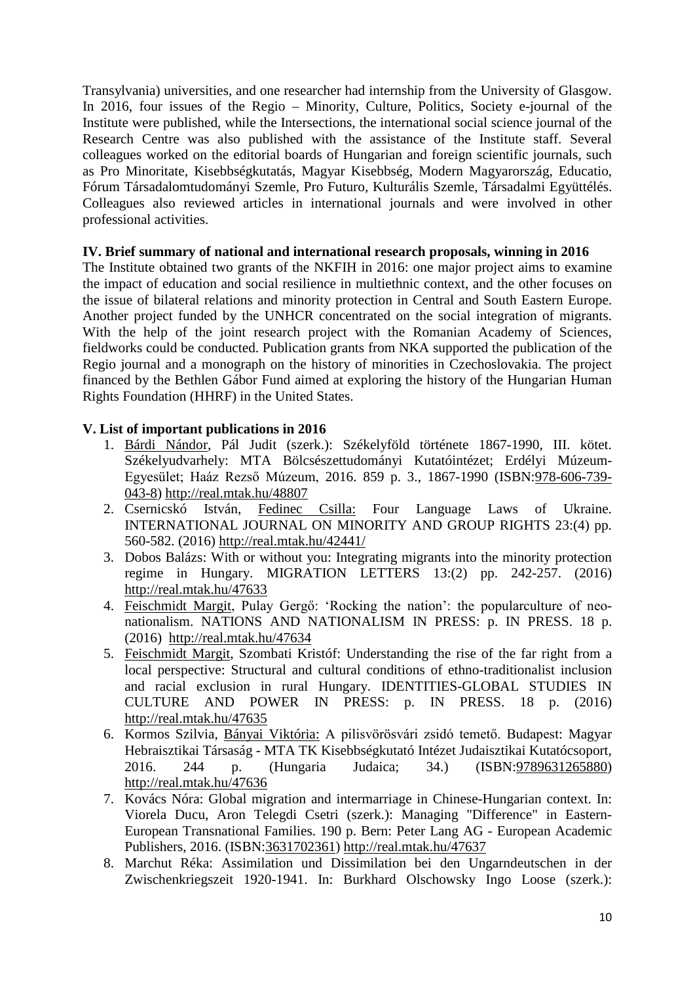Transylvania) universities, and one researcher had internship from the University of Glasgow. In 2016, four issues of the Regio – Minority, Culture, Politics, Society e-journal of the Institute were published, while the Intersections, the international social science journal of the Research Centre was also published with the assistance of the Institute staff. Several colleagues worked on the editorial boards of Hungarian and foreign scientific journals, such as Pro Minoritate, Kisebbségkutatás, Magyar Kisebbség, Modern Magyarország, Educatio, Fórum Társadalomtudományi Szemle, Pro Futuro, Kulturális Szemle, Társadalmi Együttélés. Colleagues also reviewed articles in international journals and were involved in other professional activities.

### **IV. Brief summary of national and international research proposals, winning in 2016**

The Institute obtained two grants of the NKFIH in 2016: one major project aims to examine the impact of education and social resilience in multiethnic context, and the other focuses on the issue of bilateral relations and minority protection in Central and South Eastern Europe. Another project funded by the UNHCR concentrated on the social integration of migrants. With the help of the joint research project with the Romanian Academy of Sciences, fieldworks could be conducted. Publication grants from NKA supported the publication of the Regio journal and a monograph on the history of minorities in Czechoslovakia. The project financed by the Bethlen Gábor Fund aimed at exploring the history of the Hungarian Human Rights Foundation (HHRF) in the United States.

## **V. List of important publications in 2016**

- 1. Bárdi Nándor, Pál Judit (szerk.): Székelyföld története 1867-1990, III. kötet. Székelyudvarhely: MTA Bölcsészettudományi Kutatóintézet; Erdélyi Múzeum-Egyesület; Haáz Rezső Múzeum, 2016. 859 p. 3., 1867-1990 (ISBN[:978-606-739-](http://www.isbnsearch.org/isbn/9786067390438) [043-8\)](http://www.isbnsearch.org/isbn/9786067390438) <http://real.mtak.hu/48807>
- 2. Csernicskó István, Fedinec Csilla: Four Language Laws of Ukraine. INTERNATIONAL JOURNAL ON MINORITY AND GROUP RIGHTS 23:(4) pp. 560-582. (2016)<http://real.mtak.hu/42441/>
- 3. Dobos Balázs: With or without you: Integrating migrants into the minority protection regime in Hungary. MIGRATION LETTERS 13:(2) pp. 242-257. (2016) [http://real.mtak.hu/47633](https://vm.mtmt.hu/kommunikacio/index.php?menuid=541&dbid=36&id=47633)
- 4. Feischmidt Margit, Pulay Gergő: 'Rocking the nation': the popularculture of neonationalism. NATIONS AND NATIONALISM IN PRESS: p. IN PRESS. 18 p. (2016) [http://real.mtak.hu/47634](https://vm.mtmt.hu/kommunikacio/index.php?menuid=541&dbid=36&id=47634)
- 5. Feischmidt Margit, Szombati Kristóf: Understanding the rise of the far right from a local perspective: Structural and cultural conditions of ethno-traditionalist inclusion and racial exclusion in rural Hungary. IDENTITIES-GLOBAL STUDIES IN CULTURE AND POWER IN PRESS: p. IN PRESS. 18 p. (2016) <http://real.mtak.hu/47635>
- 6. Kormos Szilvia, Bányai Viktória: A pilisvörösvári zsidó temető. Budapest: Magyar Hebraisztikai Társaság - MTA TK Kisebbségkutató Intézet Judaisztikai Kutatócsoport, 2016. 244 p. (Hungaria Judaica; 34.) (ISBN[:9789631265880\)](http://www.isbnsearch.org/isbn/9789631265880) <http://real.mtak.hu/47636>
- 7. Kovács Nóra: Global migration and intermarriage in Chinese-Hungarian context. In: Viorela Ducu, Aron Telegdi Csetri (szerk.): Managing "Difference" in Eastern-European Transnational Families. 190 p. Bern: Peter Lang AG - European Academic Publishers, 2016. (ISBN[:3631702361\)](http://www.isbnsearch.org/isbn/3631702361) <http://real.mtak.hu/47637>
- 8. Marchut Réka: Assimilation und Dissimilation bei den Ungarndeutschen in der Zwischenkriegszeit 1920-1941. In: Burkhard Olschowsky Ingo Loose (szerk.):